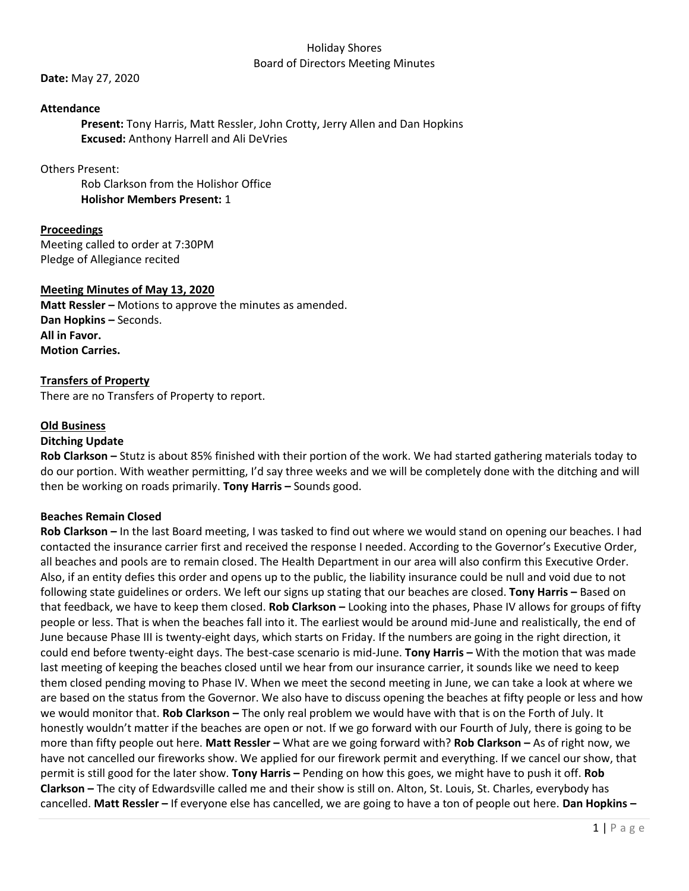#### Holiday Shores Board of Directors Meeting Minutes

**Date:** May 27, 2020

### **Attendance**

**Present:** Tony Harris, Matt Ressler, John Crotty, Jerry Allen and Dan Hopkins **Excused:** Anthony Harrell and Ali DeVries

### Others Present:

Rob Clarkson from the Holishor Office **Holishor Members Present:** 1

# **Proceedings**

Meeting called to order at 7:30PM Pledge of Allegiance recited

## **Meeting Minutes of May 13, 2020**

**Matt Ressler –** Motions to approve the minutes as amended. **Dan Hopkins –** Seconds. **All in Favor. Motion Carries.** 

## **Transfers of Property**

There are no Transfers of Property to report.

## **Old Business**

### **Ditching Update**

**Rob Clarkson –** Stutz is about 85% finished with their portion of the work. We had started gathering materials today to do our portion. With weather permitting, I'd say three weeks and we will be completely done with the ditching and will then be working on roads primarily. **Tony Harris –** Sounds good.

### **Beaches Remain Closed**

**Rob Clarkson –** In the last Board meeting, I was tasked to find out where we would stand on opening our beaches. I had contacted the insurance carrier first and received the response I needed. According to the Governor's Executive Order, all beaches and pools are to remain closed. The Health Department in our area will also confirm this Executive Order. Also, if an entity defies this order and opens up to the public, the liability insurance could be null and void due to not following state guidelines or orders. We left our signs up stating that our beaches are closed. **Tony Harris –** Based on that feedback, we have to keep them closed. **Rob Clarkson –** Looking into the phases, Phase IV allows for groups of fifty people or less. That is when the beaches fall into it. The earliest would be around mid-June and realistically, the end of June because Phase III is twenty-eight days, which starts on Friday. If the numbers are going in the right direction, it could end before twenty-eight days. The best-case scenario is mid-June. **Tony Harris –** With the motion that was made last meeting of keeping the beaches closed until we hear from our insurance carrier, it sounds like we need to keep them closed pending moving to Phase IV. When we meet the second meeting in June, we can take a look at where we are based on the status from the Governor. We also have to discuss opening the beaches at fifty people or less and how we would monitor that. **Rob Clarkson –** The only real problem we would have with that is on the Forth of July. It honestly wouldn't matter if the beaches are open or not. If we go forward with our Fourth of July, there is going to be more than fifty people out here. **Matt Ressler –** What are we going forward with? **Rob Clarkson –** As of right now, we have not cancelled our fireworks show. We applied for our firework permit and everything. If we cancel our show, that permit is still good for the later show. **Tony Harris –** Pending on how this goes, we might have to push it off. **Rob Clarkson –** The city of Edwardsville called me and their show is still on. Alton, St. Louis, St. Charles, everybody has cancelled. **Matt Ressler –** If everyone else has cancelled, we are going to have a ton of people out here. **Dan Hopkins –**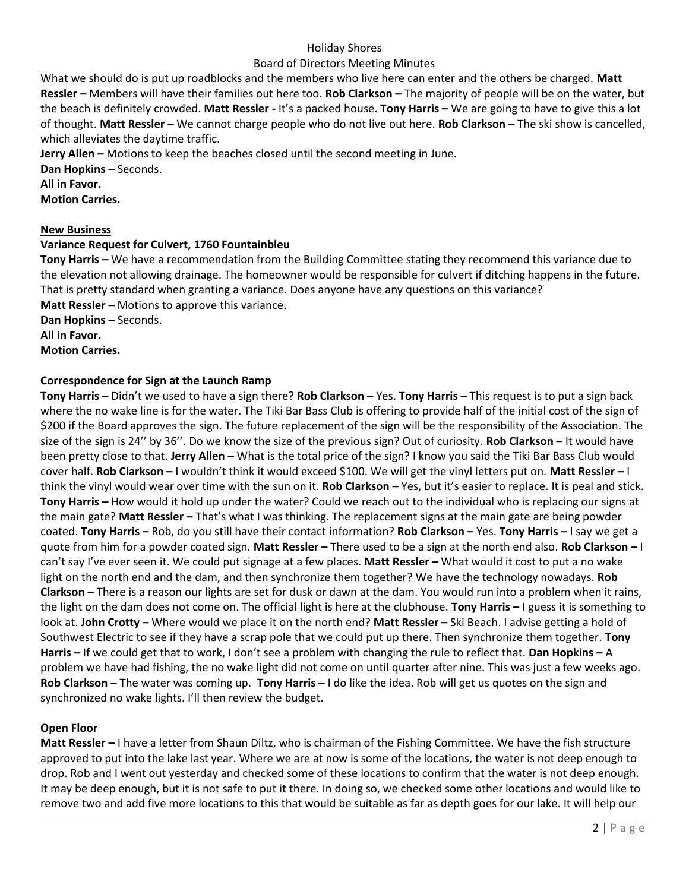## Holiday Shores

## Board of Directors Meeting Minutes

What we should do is put up roadblocks and the members who live here can enter and the others be charged. **Matt Ressler –** Members will have their families out here too. **Rob Clarkson –** The majority of people will be on the water, but the beach is definitely crowded. **Matt Ressler -** It's a packed house. **Tony Harris –** We are going to have to give this a lot of thought. **Matt Ressler –** We cannot charge people who do not live out here. **Rob Clarkson –** The ski show is cancelled, which alleviates the daytime traffic.

**Jerry Allen –** Motions to keep the beaches closed until the second meeting in June.

**Dan Hopkins –** Seconds.

**All in Favor.**

**Motion Carries.**

## **New Business**

# **Variance Request for Culvert, 1760 Fountainbleu**

**Tony Harris –** We have a recommendation from the Building Committee stating they recommend this variance due to the elevation not allowing drainage. The homeowner would be responsible for culvert if ditching happens in the future. That is pretty standard when granting a variance. Does anyone have any questions on this variance? **Matt Ressler –** Motions to approve this variance.

**Dan Hopkins –** Seconds.

**All in Favor.**

**Motion Carries.** 

# **Correspondence for Sign at the Launch Ramp**

**Tony Harris –** Didn't we used to have a sign there? **Rob Clarkson –** Yes. **Tony Harris –** This request is to put a sign back where the no wake line is for the water. The Tiki Bar Bass Club is offering to provide half of the initial cost of the sign of \$200 if the Board approves the sign. The future replacement of the sign will be the responsibility of the Association. The size of the sign is 24'' by 36''. Do we know the size of the previous sign? Out of curiosity. **Rob Clarkson –** It would have been pretty close to that. **Jerry Allen –** What is the total price of the sign? I know you said the Tiki Bar Bass Club would cover half. **Rob Clarkson –** I wouldn't think it would exceed \$100. We will get the vinyl letters put on. **Matt Ressler –** I think the vinyl would wear over time with the sun on it. **Rob Clarkson –** Yes, but it's easier to replace. It is peal and stick. **Tony Harris –** How would it hold up under the water? Could we reach out to the individual who is replacing our signs at the main gate? **Matt Ressler –** That's what I was thinking. The replacement signs at the main gate are being powder coated. **Tony Harris –** Rob, do you still have their contact information? **Rob Clarkson –** Yes. **Tony Harris –** I say we get a quote from him for a powder coated sign. **Matt Ressler –** There used to be a sign at the north end also. **Rob Clarkson –** I can't say I've ever seen it. We could put signage at a few places. **Matt Ressler –** What would it cost to put a no wake light on the north end and the dam, and then synchronize them together? We have the technology nowadays. **Rob Clarkson –** There is a reason our lights are set for dusk or dawn at the dam. You would run into a problem when it rains, the light on the dam does not come on. The official light is here at the clubhouse. **Tony Harris –** I guess it is something to look at. **John Crotty** – Where would we place it on the north end? Matt Ressler – Ski Beach. I advise getting a hold of Southwest Electric to see if they have a scrap pole that we could put up there. Then synchronize them together. **Tony Harris –** If we could get that to work, I don't see a problem with changing the rule to reflect that. **Dan Hopkins –** A problem we have had fishing, the no wake light did not come on until quarter after nine. This was just a few weeks ago. **Rob Clarkson –** The water was coming up. **Tony Harris –** I do like the idea. Rob will get us quotes on the sign and synchronized no wake lights. I'll then review the budget.

### **Open Floor**

**Matt Ressler –** I have a letter from Shaun Diltz, who is chairman of the Fishing Committee. We have the fish structure approved to put into the lake last year. Where we are at now is some of the locations, the water is not deep enough to drop. Rob and I went out yesterday and checked some of these locations to confirm that the water is not deep enough. It may be deep enough, but it is not safe to put it there. In doing so, we checked some other locations and would like to remove two and add five more locations to this that would be suitable as far as depth goes for our lake. It will help our